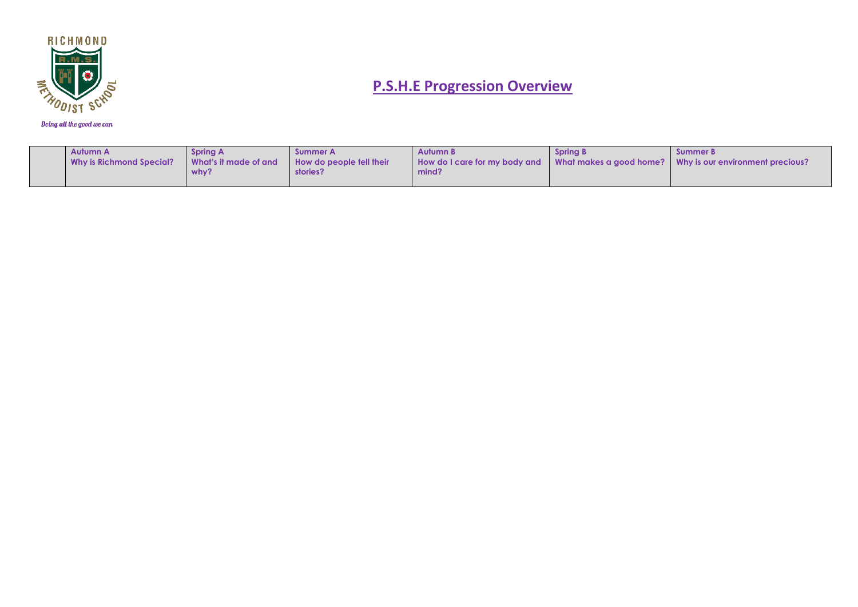

| Autumn A<br>Why is Richmond Special? | Spring A<br>What's it made of and<br>why? | – Summer A<br><b>How do people fell their</b><br>stories? | Autumn B<br>How do I care for my body and<br>mind? | <b>Spring B</b> | Summer B.<br>What makes a good home? Why is our environment precious? |
|--------------------------------------|-------------------------------------------|-----------------------------------------------------------|----------------------------------------------------|-----------------|-----------------------------------------------------------------------|
|--------------------------------------|-------------------------------------------|-----------------------------------------------------------|----------------------------------------------------|-----------------|-----------------------------------------------------------------------|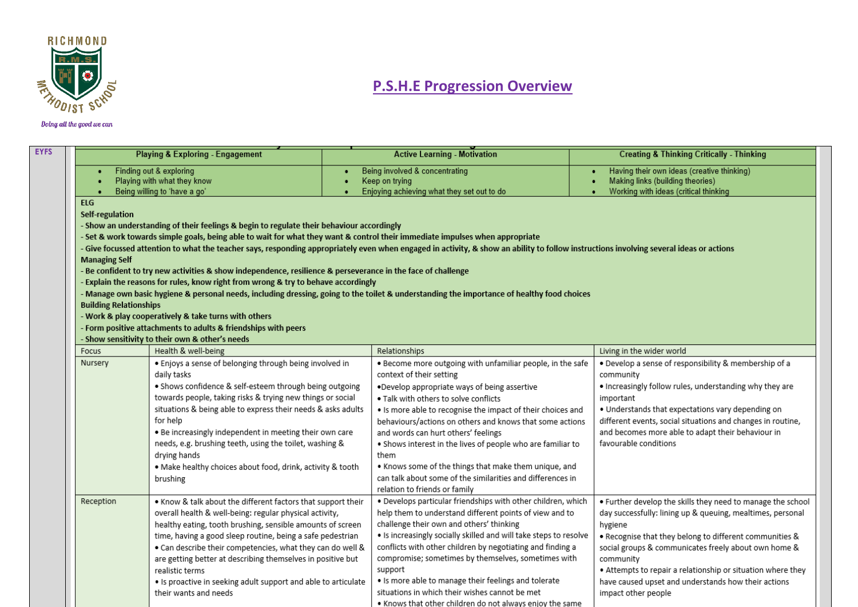

|                               | <b>Playing &amp; Exploring - Engagement</b>                                                                                  | <b>Active Learning - Motivation</b>                                                                                                                                                     | <b>Creating &amp; Thinking Critically - Thinking</b>                                                                                 |
|-------------------------------|------------------------------------------------------------------------------------------------------------------------------|-----------------------------------------------------------------------------------------------------------------------------------------------------------------------------------------|--------------------------------------------------------------------------------------------------------------------------------------|
|                               | Finding out & exploring                                                                                                      | Being involved & concentrating                                                                                                                                                          | Having their own ideas (creative thinking)                                                                                           |
|                               | Playing with what they know                                                                                                  | Keep on trying                                                                                                                                                                          | Making links (building theories)                                                                                                     |
|                               | Being willing to 'have a go'                                                                                                 | Enjoying achieving what they set out to do                                                                                                                                              | Working with ideas (critical thinking                                                                                                |
| <b>ELG</b>                    |                                                                                                                              |                                                                                                                                                                                         |                                                                                                                                      |
| Self-regulation               |                                                                                                                              |                                                                                                                                                                                         |                                                                                                                                      |
|                               | - Show an understanding of their feelings & begin to regulate their behaviour accordingly                                    |                                                                                                                                                                                         |                                                                                                                                      |
|                               | - Set & work towards simple goals, being able to wait for what they want & control their immediate impulses when appropriate |                                                                                                                                                                                         |                                                                                                                                      |
|                               |                                                                                                                              | - Give focussed attention to what the teacher says, responding appropriately even when engaged in activity, & show an ability to follow instructions involving several ideas or actions |                                                                                                                                      |
| <b>Managing Self</b>          |                                                                                                                              |                                                                                                                                                                                         |                                                                                                                                      |
|                               | - Be confident to try new activities & show independence, resilience & perseverance in the face of challenge                 |                                                                                                                                                                                         |                                                                                                                                      |
|                               | - Explain the reasons for rules, know right from wrong & try to behave accordingly                                           |                                                                                                                                                                                         |                                                                                                                                      |
|                               |                                                                                                                              | - Manage own basic hygiene & personal needs, including dressing, going to the toilet & understanding the importance of healthy food choices                                             |                                                                                                                                      |
| <b>Building Relationships</b> |                                                                                                                              |                                                                                                                                                                                         |                                                                                                                                      |
|                               | - Work & play cooperatively & take turns with others                                                                         |                                                                                                                                                                                         |                                                                                                                                      |
|                               | - Form positive attachments to adults & friendships with peers                                                               |                                                                                                                                                                                         |                                                                                                                                      |
|                               | - Show sensitivity to their own & other's needs                                                                              |                                                                                                                                                                                         |                                                                                                                                      |
| Focus                         | Health & well-being                                                                                                          | Relationships                                                                                                                                                                           | Living in the wider world                                                                                                            |
| Nursery                       | · Enjoys a sense of belonging through being involved in                                                                      | . Become more outgoing with unfamiliar people, in the safe                                                                                                                              | · Develop a sense of responsibility & membership of a                                                                                |
|                               | daily tasks                                                                                                                  | context of their setting                                                                                                                                                                | community                                                                                                                            |
|                               | • Shows confidence & self-esteem through being outgoing                                                                      | .Develop appropriate ways of being assertive                                                                                                                                            | . Increasingly follow rules, understanding why they are                                                                              |
|                               | towards people, taking risks & trying new things or social                                                                   | . Talk with others to solve conflicts                                                                                                                                                   | important                                                                                                                            |
|                               | situations & being able to express their needs & asks adults                                                                 | . Is more able to recognise the impact of their choices and                                                                                                                             | . Understands that expectations vary depending on                                                                                    |
|                               | for help                                                                                                                     | behaviours/actions on others and knows that some actions                                                                                                                                | different events, social situations and changes in routine,                                                                          |
|                               | . Be increasingly independent in meeting their own care                                                                      | and words can hurt others' feelings                                                                                                                                                     | and becomes more able to adapt their behaviour in                                                                                    |
|                               | needs, e.g. brushing teeth, using the toilet, washing &                                                                      | . Shows interest in the lives of people who are familiar to                                                                                                                             | favourable conditions                                                                                                                |
|                               | drying hands                                                                                                                 | them                                                                                                                                                                                    |                                                                                                                                      |
|                               | . Make healthy choices about food, drink, activity & tooth                                                                   | . Knows some of the things that make them unique, and                                                                                                                                   |                                                                                                                                      |
|                               | brushing                                                                                                                     | can talk about some of the similarities and differences in                                                                                                                              |                                                                                                                                      |
|                               |                                                                                                                              |                                                                                                                                                                                         |                                                                                                                                      |
|                               |                                                                                                                              | relation to friends or family                                                                                                                                                           |                                                                                                                                      |
|                               |                                                                                                                              |                                                                                                                                                                                         |                                                                                                                                      |
| Reception                     | . Know & talk about the different factors that support their<br>overall health & well-being: regular physical activity,      | . Develops particular friendships with other children, which<br>help them to understand different points of view and to                                                                 |                                                                                                                                      |
|                               |                                                                                                                              | challenge their own and others' thinking                                                                                                                                                |                                                                                                                                      |
|                               | healthy eating, tooth brushing, sensible amounts of screen                                                                   |                                                                                                                                                                                         | . Further develop the skills they need to manage the school<br>day successfully: lining up & queuing, mealtimes, personal<br>hygiene |
|                               | time, having a good sleep routine, being a safe pedestrian                                                                   | . Is increasingly socially skilled and will take steps to resolve                                                                                                                       | . Recognise that they belong to different communities &                                                                              |
|                               | . Can describe their competencies, what they can do well &                                                                   | conflicts with other children by negotiating and finding a                                                                                                                              | social groups & communicates freely about own home &                                                                                 |
|                               | are getting better at describing themselves in positive but                                                                  | compromise; sometimes by themselves, sometimes with                                                                                                                                     | community                                                                                                                            |
|                               | realistic terms                                                                                                              | support                                                                                                                                                                                 | . Attempts to repair a relationship or situation where they                                                                          |
|                               | . Is proactive in seeking adult support and able to articulate<br>their wants and needs                                      | . Is more able to manage their feelings and tolerate<br>situations in which their wishes cannot be met                                                                                  | have caused upset and understands how their actions<br>impact other people                                                           |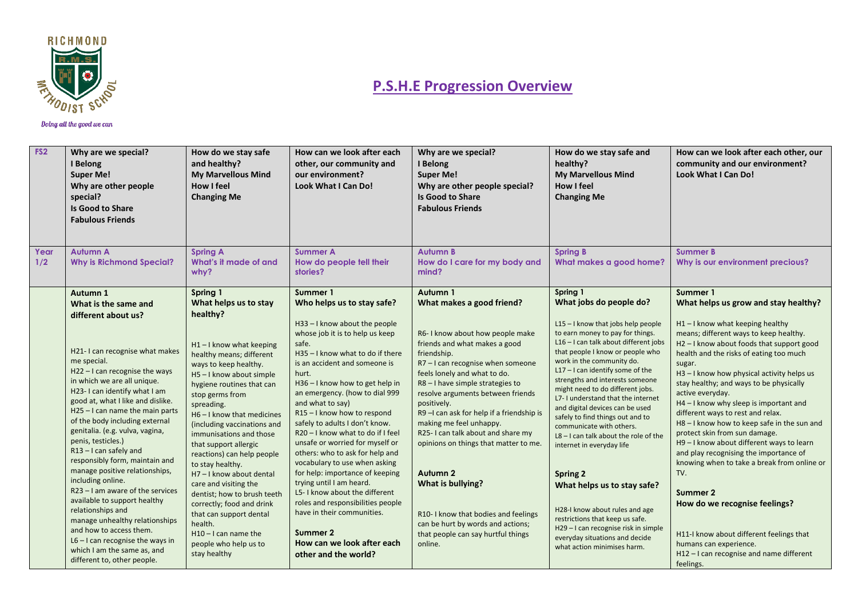

| FS <sub>2</sub> | Why are we special?<br>I Belong<br><b>Super Me!</b><br>Why are other people<br>special?<br>Is Good to Share<br><b>Fabulous Friends</b>                                                                                                                                                                                                                                                                                                     | How do we stay safe<br>and healthy?<br><b>My Marvellous Mind</b><br>How I feel<br><b>Changing Me</b>                                                                                                                                                                                                                                                                                      | How can we look after each<br>other, our community and<br>our environment?<br>Look What I Can Do!                                                                                                                                                                                                                                                                                                                                                                                             | Why are we special?<br>I Belong<br><b>Super Me!</b><br>Why are other people special?<br><b>Is Good to Share</b><br><b>Fabulous Friends</b>                                                                                                                                                                                                                                                                                             | How do we stay safe and<br>healthy?<br><b>My Marvellous Mind</b><br><b>How I feel</b><br><b>Changing Me</b>                                                                                                                                                                                                                                                                                                                                                                                                                                             | How can we look after each other, our<br>community and our environment?<br>Look What I Can Do!                                                                                                                                                                                                                                                                                                                                                                                                                                                                                                                                             |
|-----------------|--------------------------------------------------------------------------------------------------------------------------------------------------------------------------------------------------------------------------------------------------------------------------------------------------------------------------------------------------------------------------------------------------------------------------------------------|-------------------------------------------------------------------------------------------------------------------------------------------------------------------------------------------------------------------------------------------------------------------------------------------------------------------------------------------------------------------------------------------|-----------------------------------------------------------------------------------------------------------------------------------------------------------------------------------------------------------------------------------------------------------------------------------------------------------------------------------------------------------------------------------------------------------------------------------------------------------------------------------------------|----------------------------------------------------------------------------------------------------------------------------------------------------------------------------------------------------------------------------------------------------------------------------------------------------------------------------------------------------------------------------------------------------------------------------------------|---------------------------------------------------------------------------------------------------------------------------------------------------------------------------------------------------------------------------------------------------------------------------------------------------------------------------------------------------------------------------------------------------------------------------------------------------------------------------------------------------------------------------------------------------------|--------------------------------------------------------------------------------------------------------------------------------------------------------------------------------------------------------------------------------------------------------------------------------------------------------------------------------------------------------------------------------------------------------------------------------------------------------------------------------------------------------------------------------------------------------------------------------------------------------------------------------------------|
| Year<br>1/2     | <b>Autumn A</b><br><b>Why is Richmond Special?</b>                                                                                                                                                                                                                                                                                                                                                                                         | <b>Spring A</b><br>What's it made of and<br>why?                                                                                                                                                                                                                                                                                                                                          | <b>Summer A</b><br>How do people tell their<br>stories?                                                                                                                                                                                                                                                                                                                                                                                                                                       | <b>Autumn B</b><br>How do I care for my body and<br>mind?                                                                                                                                                                                                                                                                                                                                                                              | Spring B<br>What makes a good home?                                                                                                                                                                                                                                                                                                                                                                                                                                                                                                                     | <b>Summer B</b><br>Why is our environment precious?                                                                                                                                                                                                                                                                                                                                                                                                                                                                                                                                                                                        |
|                 | Autumn 1<br>What is the same and<br>different about us?<br>H21-I can recognise what makes<br>me special.<br>H22-I can recognise the ways<br>in which we are all unique.<br>H23-I can identify what I am<br>good at, what I like and dislike.<br>$H25 - I$ can name the main parts<br>of the body including external<br>genitalia. (e.g. vulva, vagina,<br>penis, testicles.)<br>$R13 - I$ can safely and<br>responsibly form, maintain and | Spring 1<br>What helps us to stay<br>healthy?<br>$H1 - I$ know what keeping<br>healthy means; different<br>ways to keep healthy.<br>H5-I know about simple<br>hygiene routines that can<br>stop germs from<br>spreading.<br>H6-I know that medicines<br>(including vaccinations and<br>immunisations and those<br>that support allergic<br>reactions) can help people<br>to stay healthy. | Summer 1<br>Who helps us to stay safe?<br>H33-I know about the people<br>whose job it is to help us keep<br>safe.<br>H35-I know what to do if there<br>is an accident and someone is<br>hurt.<br>H36-I know how to get help in<br>an emergency. (how to dial 999<br>and what to say)<br>R15-I know how to respond<br>safely to adults I don't know.<br>R20-I know what to do if I feel<br>unsafe or worried for myself or<br>others: who to ask for help and<br>vocabulary to use when asking | Autumn 1<br>What makes a good friend?<br>R6-I know about how people make<br>friends and what makes a good<br>friendship.<br>R7-I can recognise when someone<br>feels lonely and what to do.<br>R8-I have simple strategies to<br>resolve arguments between friends<br>positively.<br>R9-I can ask for help if a friendship is<br>making me feel unhappy.<br>R25-I can talk about and share my<br>opinions on things that matter to me. | Spring 1<br>What jobs do people do?<br>$L15 - I$ know that jobs help people<br>to earn money to pay for things.<br>L16 - I can talk about different jobs<br>that people I know or people who<br>work in the community do.<br>$L17 - I$ can identify some of the<br>strengths and interests someone<br>might need to do different jobs.<br>L7- I understand that the internet<br>and digital devices can be used<br>safely to find things out and to<br>communicate with others.<br>$L8 - I$ can talk about the role of the<br>internet in everyday life | Summer 1<br>What helps us grow and stay healthy?<br>$H1 - I$ know what keeping healthy<br>means; different ways to keep healthy.<br>H2-I know about foods that support good<br>health and the risks of eating too much<br>sugar.<br>H3-I know how physical activity helps us<br>stay healthy; and ways to be physically<br>active everyday.<br>H4-I know why sleep is important and<br>different ways to rest and relax.<br>H8-I know how to keep safe in the sun and<br>protect skin from sun damage.<br>H9-I know about different ways to learn<br>and play recognising the importance of<br>knowing when to take a break from online or |
|                 | manage positive relationships,<br>including online.<br>R23 - I am aware of the services<br>available to support healthy<br>relationships and<br>manage unhealthy relationships<br>and how to access them.<br>$L6 - I$ can recognise the ways in<br>which I am the same as, and<br>different to, other people.                                                                                                                              | H7-I know about dental<br>care and visiting the<br>dentist; how to brush teeth<br>correctly; food and drink<br>that can support dental<br>health.<br>$H10 - I$ can name the<br>people who help us to<br>stay healthy                                                                                                                                                                      | for help: importance of keeping<br>trying until I am heard.<br>L5-I know about the different<br>roles and responsibilities people<br>have in their communities.<br>Summer 2<br>How can we look after each<br>other and the world?                                                                                                                                                                                                                                                             | Autumn 2<br>What is bullying?<br>R10-I know that bodies and feelings<br>can be hurt by words and actions;<br>that people can say hurtful things<br>online.                                                                                                                                                                                                                                                                             | <b>Spring 2</b><br>What helps us to stay safe?<br>H28-I know about rules and age<br>restrictions that keep us safe.<br>H29-I can recognise risk in simple<br>everyday situations and decide<br>what action minimises harm.                                                                                                                                                                                                                                                                                                                              | TV.<br>Summer 2<br>How do we recognise feelings?<br>H11-I know about different feelings that<br>humans can experience.<br>H12-I can recognise and name different<br>feelings.                                                                                                                                                                                                                                                                                                                                                                                                                                                              |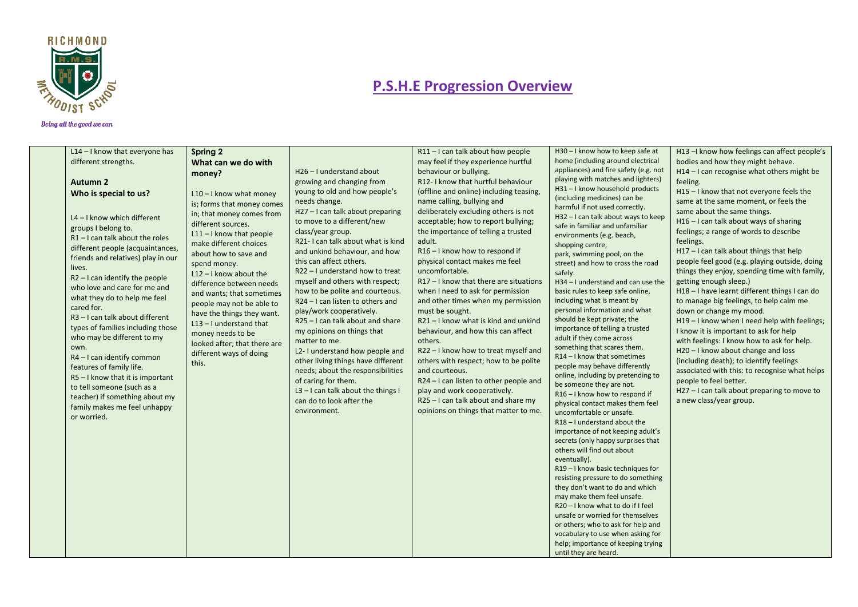

| L14 - I know that everyone has                             | Spring 2                                                |                                                          | R11-I can talk about how people                                | H30-I know how to keep safe at                                         | H13-I know how feelings can affect people's                                                    |
|------------------------------------------------------------|---------------------------------------------------------|----------------------------------------------------------|----------------------------------------------------------------|------------------------------------------------------------------------|------------------------------------------------------------------------------------------------|
| different strengths.                                       | What can we do with                                     |                                                          | may feel if they experience hurtful                            | home (including around electrical                                      | bodies and how they might behave.                                                              |
|                                                            | money?                                                  | H <sub>26</sub> - I understand about                     | behaviour or bullying.                                         | appliances) and fire safety (e.g. not                                  | $H14 - I$ can recognise what others might be                                                   |
| <b>Autumn 2</b>                                            |                                                         | growing and changing from                                | R12- I know that hurtful behaviour                             | playing with matches and lighters)                                     | feeling.                                                                                       |
| Who is special to us?                                      | $L10 - I$ know what money                               | young to old and how people's                            | (offline and online) including teasing,                        | H31-I know household products<br>(including medicines) can be          | H15-I know that not everyone feels the                                                         |
|                                                            | is; forms that money comes                              | needs change.                                            | name calling, bullying and                                     | harmful if not used correctly.                                         | same at the same moment, or feels the                                                          |
| $L4 - I$ know which different                              | in; that money comes from                               | H27 - I can talk about preparing                         | deliberately excluding others is not                           | H32-I can talk about ways to keep                                      | same about the same things.                                                                    |
| groups I belong to.                                        | different sources.                                      | to move to a different/new                               | acceptable; how to report bullying;                            | safe in familiar and unfamiliar                                        | H16 - I can talk about ways of sharing                                                         |
| $R1 - I$ can talk about the roles                          | $L11 - I$ know that people                              | class/year group.                                        | the importance of telling a trusted                            | environments (e.g. beach,                                              | feelings; a range of words to describe                                                         |
| different people (acquaintances,                           | make different choices                                  | R21-I can talk about what is kind                        | adult.                                                         | shopping centre,                                                       | feelings.                                                                                      |
| friends and relatives) play in our                         | about how to save and                                   | and unkind behaviour, and how<br>this can affect others. | R16-I know how to respond if<br>physical contact makes me feel | park, swimming pool, on the                                            | H17-I can talk about things that help                                                          |
| lives.                                                     | spend money.                                            | R22-I understand how to treat                            | uncomfortable.                                                 | street) and how to cross the road                                      | people feel good (e.g. playing outside, doing<br>things they enjoy, spending time with family, |
| $R2 - I$ can identify the people                           | $L12 - I$ know about the                                | myself and others with respect;                          | $R17 - I$ know that there are situations                       | safely.<br>H34 - I understand and can use the                          | getting enough sleep.)                                                                         |
| who love and care for me and                               | difference between needs                                | how to be polite and courteous.                          | when I need to ask for permission                              | basic rules to keep safe online,                                       | H18-I have learnt different things I can do                                                    |
| what they do to help me feel                               | and wants; that sometimes                               | $R24 - I$ can listen to others and                       | and other times when my permission                             | including what is meant by                                             | to manage big feelings, to help calm me                                                        |
| cared for.                                                 | people may not be able to<br>have the things they want. | play/work cooperatively.                                 | must be sought.                                                | personal information and what                                          | down or change my mood.                                                                        |
| R3-I can talk about different                              | $L13 - I$ understand that                               | R25 - I can talk about and share                         | R21-I know what is kind and unkind                             | should be kept private; the                                            | H19-I know when I need help with feelings;                                                     |
| types of families including those                          | money needs to be                                       | my opinions on things that                               | behaviour, and how this can affect                             | importance of telling a trusted                                        | I know it is important to ask for help                                                         |
| who may be different to my                                 | looked after; that there are                            | matter to me.                                            | others.                                                        | adult if they come across                                              | with feelings: I know how to ask for help.                                                     |
| own.                                                       | different ways of doing                                 | L2-I understand how people and                           | R22 - I know how to treat myself and                           | something that scares them.                                            | H20-I know about change and loss                                                               |
| R4-I can identify common                                   | this.                                                   | other living things have different                       | others with respect; how to be polite                          | R14-I know that sometimes<br>people may behave differently             | (including death); to identify feelings                                                        |
| features of family life.<br>R5-I know that it is important |                                                         | needs; about the responsibilities                        | and courteous.                                                 | online, including by pretending to                                     | associated with this: to recognise what helps                                                  |
| to tell someone (such as a                                 |                                                         | of caring for them.                                      | R24 - I can listen to other people and                         | be someone they are not.                                               | people to feel better.                                                                         |
| teacher) if something about my                             |                                                         | $L3 - I$ can talk about the things I                     | play and work cooperatively.                                   | R16-I know how to respond if                                           | H27 - I can talk about preparing to move to                                                    |
| family makes me feel unhappy                               |                                                         | can do to look after the                                 | R25 - I can talk about and share my                            | physical contact makes them feel                                       | a new class/year group.                                                                        |
| or worried.                                                |                                                         | environment.                                             | opinions on things that matter to me.                          | uncomfortable or unsafe.                                               |                                                                                                |
|                                                            |                                                         |                                                          |                                                                | $R18 - I$ understand about the                                         |                                                                                                |
|                                                            |                                                         |                                                          |                                                                | importance of not keeping adult's                                      |                                                                                                |
|                                                            |                                                         |                                                          |                                                                | secrets (only happy surprises that<br>others will find out about       |                                                                                                |
|                                                            |                                                         |                                                          |                                                                | eventually).                                                           |                                                                                                |
|                                                            |                                                         |                                                          |                                                                | R19-I know basic techniques for                                        |                                                                                                |
|                                                            |                                                         |                                                          |                                                                | resisting pressure to do something                                     |                                                                                                |
|                                                            |                                                         |                                                          |                                                                | they don't want to do and which                                        |                                                                                                |
|                                                            |                                                         |                                                          |                                                                | may make them feel unsafe.                                             |                                                                                                |
|                                                            |                                                         |                                                          |                                                                | R20 - I know what to do if I feel                                      |                                                                                                |
|                                                            |                                                         |                                                          |                                                                | unsafe or worried for themselves<br>or others; who to ask for help and |                                                                                                |
|                                                            |                                                         |                                                          |                                                                | vocabulary to use when asking for                                      |                                                                                                |
|                                                            |                                                         |                                                          |                                                                | help; importance of keeping trying                                     |                                                                                                |
|                                                            |                                                         |                                                          |                                                                | until they are heard.                                                  |                                                                                                |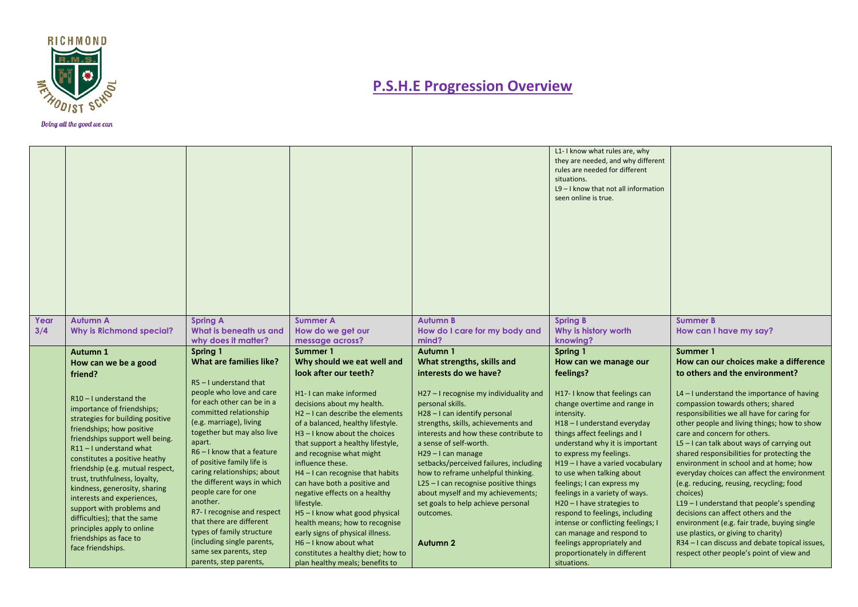

|      |                                                                                                                                                                                                                                                                                                                                                                                                                                                                                                    |                                                                                                                                                                                                                                                                                                                                                                                                                                                                                                                         |                                                                                                                                                                                                                                                                                                                                                                                                                                                                                                                                                                                     |                                                                                                                                                                                                                                                                                                                                                                                                                                                                   | L1-I know what rules are, why<br>they are needed, and why different<br>rules are needed for different<br>situations.<br>L9-I know that not all information<br>seen online is true.                                                                                                                                                                                                                                                                                                                                                                |                                                                                                                                                                                                                                                                                                                                                                                                                                                                                                                                                                                                                                                                                                                                      |
|------|----------------------------------------------------------------------------------------------------------------------------------------------------------------------------------------------------------------------------------------------------------------------------------------------------------------------------------------------------------------------------------------------------------------------------------------------------------------------------------------------------|-------------------------------------------------------------------------------------------------------------------------------------------------------------------------------------------------------------------------------------------------------------------------------------------------------------------------------------------------------------------------------------------------------------------------------------------------------------------------------------------------------------------------|-------------------------------------------------------------------------------------------------------------------------------------------------------------------------------------------------------------------------------------------------------------------------------------------------------------------------------------------------------------------------------------------------------------------------------------------------------------------------------------------------------------------------------------------------------------------------------------|-------------------------------------------------------------------------------------------------------------------------------------------------------------------------------------------------------------------------------------------------------------------------------------------------------------------------------------------------------------------------------------------------------------------------------------------------------------------|---------------------------------------------------------------------------------------------------------------------------------------------------------------------------------------------------------------------------------------------------------------------------------------------------------------------------------------------------------------------------------------------------------------------------------------------------------------------------------------------------------------------------------------------------|--------------------------------------------------------------------------------------------------------------------------------------------------------------------------------------------------------------------------------------------------------------------------------------------------------------------------------------------------------------------------------------------------------------------------------------------------------------------------------------------------------------------------------------------------------------------------------------------------------------------------------------------------------------------------------------------------------------------------------------|
| Year | <b>Autumn A</b>                                                                                                                                                                                                                                                                                                                                                                                                                                                                                    | <b>Spring A</b>                                                                                                                                                                                                                                                                                                                                                                                                                                                                                                         | <b>Summer A</b>                                                                                                                                                                                                                                                                                                                                                                                                                                                                                                                                                                     | <b>Autumn B</b>                                                                                                                                                                                                                                                                                                                                                                                                                                                   | <b>Spring B</b>                                                                                                                                                                                                                                                                                                                                                                                                                                                                                                                                   | <b>Summer B</b>                                                                                                                                                                                                                                                                                                                                                                                                                                                                                                                                                                                                                                                                                                                      |
| 3/4  | <b>Why is Richmond special?</b>                                                                                                                                                                                                                                                                                                                                                                                                                                                                    | What is beneath us and                                                                                                                                                                                                                                                                                                                                                                                                                                                                                                  | How do we get our                                                                                                                                                                                                                                                                                                                                                                                                                                                                                                                                                                   | How do I care for my body and                                                                                                                                                                                                                                                                                                                                                                                                                                     | Why is history worth                                                                                                                                                                                                                                                                                                                                                                                                                                                                                                                              | How can I have my say?                                                                                                                                                                                                                                                                                                                                                                                                                                                                                                                                                                                                                                                                                                               |
|      |                                                                                                                                                                                                                                                                                                                                                                                                                                                                                                    | why does it matter?<br>Spring 1                                                                                                                                                                                                                                                                                                                                                                                                                                                                                         | message across?<br>Summer 1                                                                                                                                                                                                                                                                                                                                                                                                                                                                                                                                                         | mind?<br>Autumn 1                                                                                                                                                                                                                                                                                                                                                                                                                                                 | knowing?<br>Spring 1                                                                                                                                                                                                                                                                                                                                                                                                                                                                                                                              | Summer 1                                                                                                                                                                                                                                                                                                                                                                                                                                                                                                                                                                                                                                                                                                                             |
|      | Autumn 1<br>How can we be a good                                                                                                                                                                                                                                                                                                                                                                                                                                                                   | <b>What are families like?</b>                                                                                                                                                                                                                                                                                                                                                                                                                                                                                          | Why should we eat well and                                                                                                                                                                                                                                                                                                                                                                                                                                                                                                                                                          | What strengths, skills and                                                                                                                                                                                                                                                                                                                                                                                                                                        | How can we manage our                                                                                                                                                                                                                                                                                                                                                                                                                                                                                                                             | How can our choices make a difference                                                                                                                                                                                                                                                                                                                                                                                                                                                                                                                                                                                                                                                                                                |
|      | friend?                                                                                                                                                                                                                                                                                                                                                                                                                                                                                            |                                                                                                                                                                                                                                                                                                                                                                                                                                                                                                                         | look after our teeth?                                                                                                                                                                                                                                                                                                                                                                                                                                                                                                                                                               | interests do we have?                                                                                                                                                                                                                                                                                                                                                                                                                                             | feelings?                                                                                                                                                                                                                                                                                                                                                                                                                                                                                                                                         | to others and the environment?                                                                                                                                                                                                                                                                                                                                                                                                                                                                                                                                                                                                                                                                                                       |
|      | $R10 - I$ understand the<br>importance of friendships;<br>strategies for building positive<br>friendships; how positive<br>friendships support well being.<br>R11-I understand what<br>constitutes a positive heathy<br>friendship (e.g. mutual respect,<br>trust, truthfulness, loyalty,<br>kindness, generosity, sharing<br>interests and experiences,<br>support with problems and<br>difficulties); that the same<br>principles apply to online<br>friendships as face to<br>face friendships. | $RS - I$ understand that<br>people who love and care<br>for each other can be in a<br>committed relationship<br>(e.g. marriage), living<br>together but may also live<br>apart.<br>$R6 - I$ know that a feature<br>of positive family life is<br>caring relationships; about<br>the different ways in which<br>people care for one<br>another.<br>R7-I recognise and respect<br>that there are different<br>types of family structure<br>(including single parents,<br>same sex parents, step<br>parents, step parents, | H1-I can make informed<br>decisions about my health.<br>$H2 - I$ can describe the elements<br>of a balanced, healthy lifestyle.<br>H3-I know about the choices<br>that support a healthy lifestyle,<br>and recognise what might<br>influence these.<br>$H4 - I$ can recognise that habits<br>can have both a positive and<br>negative effects on a healthy<br>lifestyle.<br>H5-I know what good physical<br>health means; how to recognise<br>early signs of physical illness.<br>$H6 - I$ know about what<br>constitutes a healthy diet; how to<br>plan healthy meals; benefits to | H27 - I recognise my individuality and<br>personal skills.<br>H28-I can identify personal<br>strengths, skills, achievements and<br>interests and how these contribute to<br>a sense of self-worth.<br>H29-I can manage<br>setbacks/perceived failures, including<br>how to reframe unhelpful thinking.<br>$L25 - I$ can recognise positive things<br>about myself and my achievements;<br>set goals to help achieve personal<br>outcomes.<br>Autumn <sub>2</sub> | H17-I know that feelings can<br>change overtime and range in<br>intensity.<br>H18-I understand everyday<br>things affect feelings and I<br>understand why it is important<br>to express my feelings.<br>H19-I have a varied vocabulary<br>to use when talking about<br>feelings; I can express my<br>feelings in a variety of ways.<br>H20-I have strategies to<br>respond to feelings, including<br>intense or conflicting feelings; I<br>can manage and respond to<br>feelings appropriately and<br>proportionately in different<br>situations. | $L4 - I$ understand the importance of having<br>compassion towards others; shared<br>responsibilities we all have for caring for<br>other people and living things; how to show<br>care and concern for others.<br>$L5 - I$ can talk about ways of carrying out<br>shared responsibilities for protecting the<br>environment in school and at home; how<br>everyday choices can affect the environment<br>(e.g. reducing, reusing, recycling; food<br>choices)<br>L19-I understand that people's spending<br>decisions can affect others and the<br>environment (e.g. fair trade, buying single<br>use plastics, or giving to charity)<br>R34 - I can discuss and debate topical issues,<br>respect other people's point of view and |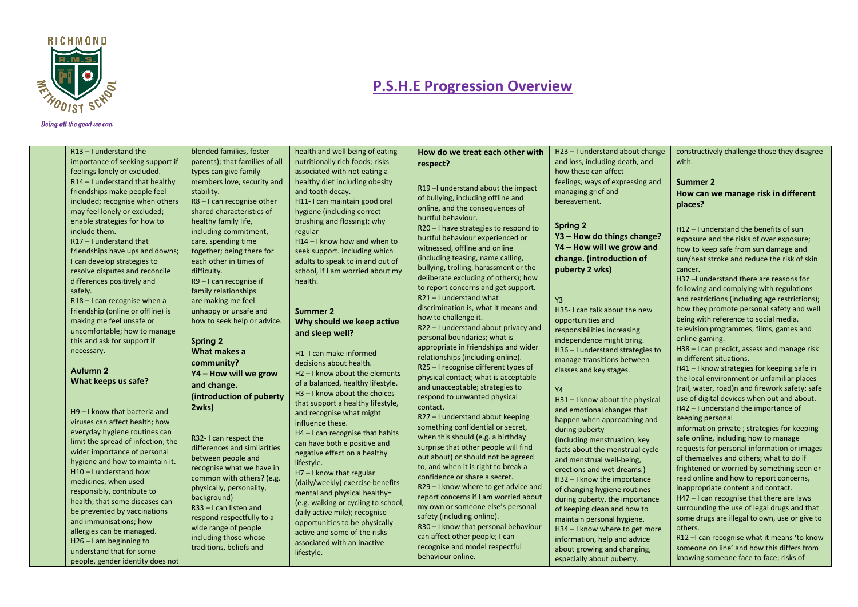

#### Doing all the good we can

understand that for some people, gender identity does not traditions, beliefs and

lifestyle.

| $R13 - I$ understand the           | blended families, foster       | health and well being of eating            | How do we treat each other with                                           | H23-I understand about change    | constructively challenge those they disagree   |
|------------------------------------|--------------------------------|--------------------------------------------|---------------------------------------------------------------------------|----------------------------------|------------------------------------------------|
| importance of seeking support if   | parents); that families of all | nutritionally rich foods; risks            | respect?                                                                  | and loss, including death, and   | with.                                          |
| feelings lonely or excluded.       | types can give family          | associated with not eating a               |                                                                           | how these can affect             |                                                |
| $R14 - I$ understand that healthy  | members love, security and     | healthy diet including obesity             |                                                                           | feelings; ways of expressing and | Summer 2                                       |
| friendships make people feel       | stability.                     | and tooth decay.                           | R19-I understand about the impact                                         | managing grief and               | How can we manage risk in different            |
| included; recognise when others    | $R8 - I$ can recognise other   | H11-I can maintain good oral               | of bullying, including offline and                                        | bereavement.                     | places?                                        |
| may feel lonely or excluded;       | shared characteristics of      | hygiene (including correct                 | online, and the consequences of                                           |                                  |                                                |
| enable strategies for how to       | healthy family life,           | brushing and flossing); why                | hurtful behaviour.                                                        | Spring 2                         |                                                |
| include them.                      | including commitment,          | regular                                    | R20 - I have strategies to respond to                                     | Y3 - How do things change?       | H12-I understand the benefits of sun           |
| $R17 - I$ understand that          | care, spending time            | $H14 - I$ know how and when to             | hurtful behaviour experienced or                                          |                                  | exposure and the risks of over exposure;       |
| friendships have ups and downs;    | together; being there for      | seek support. including which              | witnessed, offline and online                                             | Y4 - How will we grow and        | how to keep safe from sun damage and           |
| I can develop strategies to        | each other in times of         | adults to speak to in and out of           | (including teasing, name calling,                                         | change. (introduction of         | sun/heat stroke and reduce the risk of skin    |
| resolve disputes and reconcile     | difficulty.                    | school, if I am worried about my           | bullying, trolling, harassment or the                                     | puberty 2 wks)                   | cancer.                                        |
| differences positively and         | $R9 - I$ can recognise if      | health.                                    | deliberate excluding of others); how                                      |                                  | H37-I understand there are reasons for         |
| safely.                            | family relationships           |                                            | to report concerns and get support.                                       |                                  | following and complying with regulations       |
| $R18 - I$ can recognise when a     | are making me feel             |                                            | R21-I understand what                                                     | Y <sub>3</sub>                   | and restrictions (including age restrictions); |
| friendship (online or offline) is  | unhappy or unsafe and          | Summer 2                                   | discrimination is, what it means and                                      | H35-I can talk about the new     | how they promote personal safety and well      |
| making me feel unsafe or           | how to seek help or advice.    | Why should we keep active                  | how to challenge it.                                                      | opportunities and                | being with reference to social media,          |
| uncomfortable; how to manage       |                                | and sleep well?                            | R22-I understand about privacy and                                        | responsibilities increasing      | television programmes, films, games and        |
| this and ask for support if        | Spring 2                       |                                            | personal boundaries; what is                                              | independence might bring.        | online gaming.                                 |
| necessary.                         | What makes a                   | H1-I can make informed                     | appropriate in friendships and wider                                      | H36 - I understand strategies to | H38 - I can predict, assess and manage risk    |
|                                    | community?                     | decisions about health.                    | relationships (including online).                                         | manage transitions between       | in different situations.                       |
| Autumn 2                           | Y4 - How will we grow          | H <sub>2</sub> - I know about the elements | R25 - I recognise different types of                                      | classes and key stages.          | H41 - I know strategies for keeping safe in    |
| What keeps us safe?                | and change.                    | of a balanced, healthy lifestyle.          | physical contact; what is acceptable                                      |                                  | the local environment or unfamiliar places     |
|                                    | (introduction of puberty       | $H3 - I$ know about the choices            | and unacceptable; strategies to                                           | <b>Y4</b>                        | (rail, water, road)n and firework safety; safe |
|                                    |                                | that support a healthy lifestyle,          | respond to unwanted physical                                              | H31-I know about the physical    | use of digital devices when out and about.     |
| H9-I know that bacteria and        | 2wks)                          | and recognise what might                   | contact.                                                                  | and emotional changes that       | H42 - I understand the importance of           |
| viruses can affect health; how     |                                | influence these.                           | R27 - I understand about keeping                                          | happen when approaching and      | keeping personal                               |
| everyday hygiene routines can      |                                | H4-I can recognise that habits             | something confidential or secret,                                         | during puberty                   | information private; strategies for keeping    |
| limit the spread of infection; the | R32-I can respect the          | can have both e positive and               | when this should (e.g. a birthday<br>surprise that other people will find | (including menstruation, key     | safe online, including how to manage           |
| wider importance of personal       | differences and similarities   | negative effect on a healthy               | out about) or should not be agreed                                        | facts about the menstrual cycle  | requests for personal information or images    |
| hygiene and how to maintain it.    | between people and             | lifestyle.                                 | to, and when it is right to break a                                       | and menstrual well-being,        | of themselves and others; what to do if        |
| H10-I understand how               | recognise what we have in      | $H7 - I$ know that regular                 | confidence or share a secret.                                             | erections and wet dreams.)       | frightened or worried by something seen or     |
| medicines, when used               | common with others? (e.g.      | (daily/weekly) exercise benefits           | R29-I know where to get advice and                                        | H32-I know the importance        | read online and how to report concerns,        |
| responsibly, contribute to         | physically, personality,       | mental and physical healthy=               | report concerns if I am worried about                                     | of changing hygiene routines     | inappropriate content and contact.             |
| health; that some diseases can     | background)                    | (e.g. walking or cycling to school,        | my own or someone else's personal                                         | during puberty, the importance   | H47 - I can recognise that there are laws      |
| be prevented by vaccinations       | $R33 - I$ can listen and       | daily active mile); recognise              | safety (including online).                                                | of keeping clean and how to      | surrounding the use of legal drugs and that    |
| and immunisations; how             | respond respectfully to a      | opportunities to be physically             | R30 - I know that personal behaviour                                      | maintain personal hygiene.       | some drugs are illegal to own, use or give to  |
| allergies can be managed.          | wide range of people           | active and some of the risks               | can affect other people; I can                                            | H34-I know where to get more     | others.                                        |
| $H26 - I$ am beginning to          | including those whose          | associated with an inactive                | roganica and model roganitul                                              | information, help and advice     | R12 - I can recognise what it means 'to know   |

recognise and model respectful

about growing and changing, especially about puberty.

behaviour online.

someone on line' and how this differs from knowing someone face to face; risks of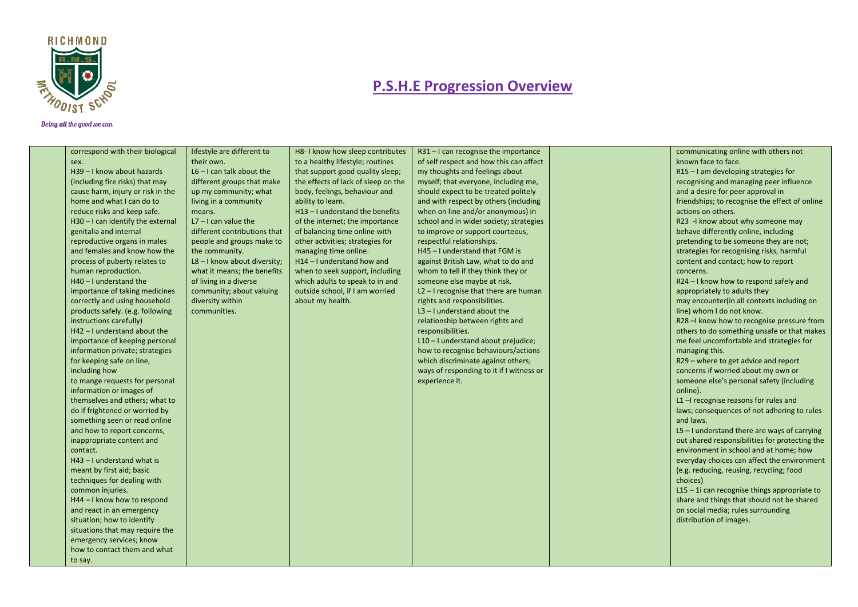

| correspond with their biological  | lifestyle are different to     | H8-I know how sleep contributes     | R31-I can recognise the importance       | communicating online with others not           |
|-----------------------------------|--------------------------------|-------------------------------------|------------------------------------------|------------------------------------------------|
| sex.                              | their own.                     | to a healthy lifestyle; routines    | of self respect and how this can affect  | known face to face.                            |
| H39 - I know about hazards        | $L6 - I$ can talk about the    | that support good quality sleep;    | my thoughts and feelings about           | R15 - I am developing strategies for           |
| (including fire risks) that may   | different groups that make     | the effects of lack of sleep on the | myself; that everyone, including me,     | recognising and managing peer influence        |
| cause harm, injury or risk in the | up my community; what          | body, feelings, behaviour and       | should expect to be treated politely     | and a desire for peer approval in              |
| home and what I can do to         | living in a community          | ability to learn.                   | and with respect by others (including    | friendships; to recognise the effect of online |
| reduce risks and keep safe.       | means.                         | H13-I understand the benefits       | when on line and/or anonymous) in        | actions on others.                             |
| H30-I can identify the external   | $L7 - I$ can value the         | of the internet; the importance     | school and in wider society; strategies  | R23 -I know about why someone may              |
| genitalia and internal            | different contributions that   | of balancing time online with       | to improve or support courteous,         | behave differently online, including           |
| reproductive organs in males      | people and groups make to      | other activities; strategies for    | respectful relationships.                | pretending to be someone they are not;         |
| and females and know how the      | the community.                 | managing time online.               | H45 - I understand that FGM is           | strategies for recognising risks, harmful      |
| process of puberty relates to     | $L8 - I$ know about diversity; | H14 - I understand how and          | against British Law, what to do and      | content and contact; how to report             |
| human reproduction.               | what it means; the benefits    | when to seek support, including     | whom to tell if they think they or       | concerns.                                      |
| $H40 - I$ understand the          | of living in a diverse         | which adults to speak to in and     | someone else maybe at risk.              | R24 - I know how to respond safely and         |
| importance of taking medicines    | community; about valuing       | outside school, if I am worried     | $L2 - I$ recognise that there are human  | appropriately to adults they                   |
| correctly and using household     | diversity within               | about my health.                    | rights and responsibilities.             | may encounter(in all contexts including on     |
| products safely. (e.g. following  | communities.                   |                                     | $L3 - I$ understand about the            | line) whom I do not know.                      |
| instructions carefully)           |                                |                                     | relationship between rights and          | R28 - know how to recognise pressure from      |
| $H42 - I$ understand about the    |                                |                                     | responsibilities.                        | others to do something unsafe or that makes    |
| importance of keeping personal    |                                |                                     | L10 - I understand about prejudice;      | me feel uncomfortable and strategies for       |
| information private; strategies   |                                |                                     | how to recognise behaviours/actions      | managing this.                                 |
| for keeping safe on line,         |                                |                                     | which discriminate against others;       | R29 - where to get advice and report           |
| including how                     |                                |                                     | ways of responding to it if I witness or | concerns if worried about my own or            |
| to mange requests for personal    |                                |                                     | experience it.                           | someone else's personal safety (including      |
| information or images of          |                                |                                     |                                          | online).                                       |
| themselves and others; what to    |                                |                                     |                                          | $L1$ -I recognise reasons for rules and        |
| do if frightened or worried by    |                                |                                     |                                          | laws; consequences of not adhering to rules    |
| something seen or read online     |                                |                                     |                                          | and laws.                                      |
| and how to report concerns,       |                                |                                     |                                          | $L5 - I$ understand there are ways of carrying |
| inappropriate content and         |                                |                                     |                                          | out shared responsibilities for protecting the |
| contact.                          |                                |                                     |                                          | environment in school and at home; how         |
| $H43 - I$ understand what is      |                                |                                     |                                          | everyday choices can affect the environment    |
| meant by first aid; basic         |                                |                                     |                                          | (e.g. reducing, reusing, recycling; food       |
| techniques for dealing with       |                                |                                     |                                          | choices)                                       |
| common injuries.                  |                                |                                     |                                          | L15 - 1i can recognise things appropriate to   |
| H44 - I know how to respond       |                                |                                     |                                          | share and things that should not be shared     |
| and react in an emergency         |                                |                                     |                                          | on social media; rules surrounding             |
| situation; how to identify        |                                |                                     |                                          | distribution of images.                        |
| situations that may require the   |                                |                                     |                                          |                                                |
| emergency services; know          |                                |                                     |                                          |                                                |
| how to contact them and what      |                                |                                     |                                          |                                                |
| to say.                           |                                |                                     |                                          |                                                |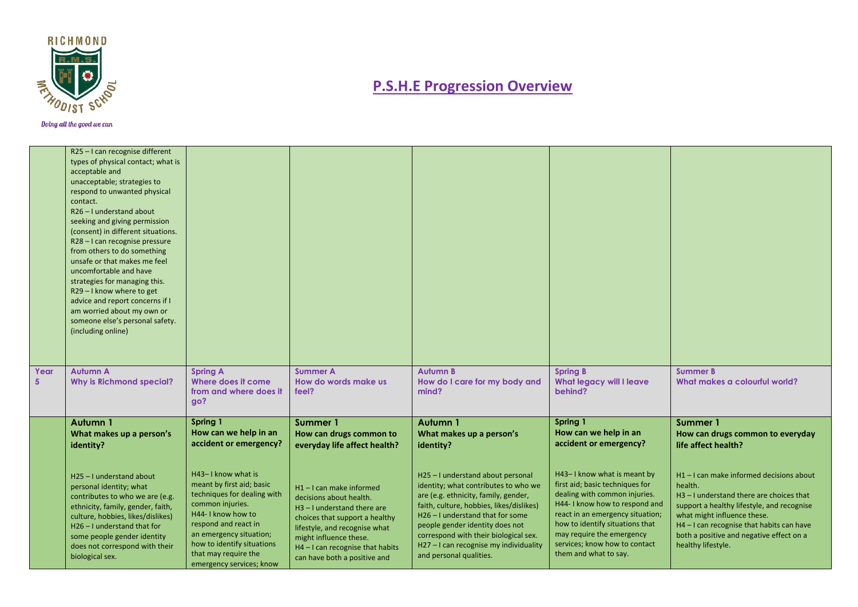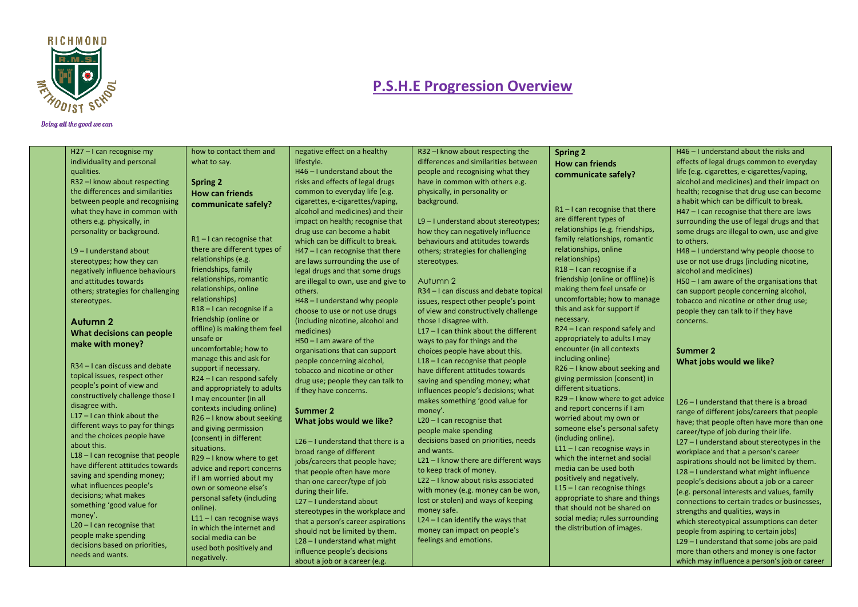

| H27 - I can recognise my            | how to contact them and      | negative effect on a healthy        | R32 - know about respecting the         | <b>Spring 2</b>                   | H46 - I understand about the risks and        |
|-------------------------------------|------------------------------|-------------------------------------|-----------------------------------------|-----------------------------------|-----------------------------------------------|
| individuality and personal          | what to say.                 | lifestyle.                          | differences and similarities between    | <b>How can friends</b>            | effects of legal drugs common to everyday     |
| qualities.                          |                              | $H46 - I$ understand about the      | people and recognising what they        | communicate safely?               | life (e.g. cigarettes, e-cigarettes/vaping,   |
| R32 - know about respecting         | <b>Spring 2</b>              | risks and effects of legal drugs    | have in common with others e.g.         |                                   | alcohol and medicines) and their impact on    |
| the differences and similarities    | <b>How can friends</b>       | common to everyday life (e.g.       | physically, in personality or           |                                   | health; recognise that drug use can become    |
| between people and recognising      | communicate safely?          | cigarettes, e-cigarettes/vaping,    | background.                             |                                   | a habit which can be difficult to break.      |
| what they have in common with       |                              | alcohol and medicines) and their    |                                         | $R1 - I$ can recognise that there | H47 - I can recognise that there are laws     |
| others e.g. physically, in          |                              | impact on health; recognise that    | L9-I understand about stereotypes;      | are different types of            | surrounding the use of legal drugs and that   |
| personality or background.          |                              | drug use can become a habit         | how they can negatively influence       | relationships (e.g. friendships,  | some drugs are illegal to own, use and give   |
|                                     | $R1 - I$ can recognise that  | which can be difficult to break.    | behaviours and attitudes towards        | family relationships, romantic    | to others.                                    |
| $L9 - I$ understand about           | there are different types of | $H47 - I$ can recognise that there  | others; strategies for challenging      | relationships, online             | H48-I understand why people choose to         |
| stereotypes; how they can           | relationships (e.g.          | are laws surrounding the use of     | stereotypes.                            | relationships)                    | use or not use drugs (including nicotine,     |
| negatively influence behaviours     | friendships, family          | legal drugs and that some drugs     |                                         | R18-I can recognise if a          | alcohol and medicines)                        |
| and attitudes towards               | relationships, romantic      | are illegal to own, use and give to | Autumn 2                                | friendship (online or offline) is | H50 - I am aware of the organisations that    |
| others; strategies for challenging  | relationships, online        | others.                             | R34 - I can discuss and debate topical  | making them feel unsafe or        | can support people concerning alcohol,        |
| stereotypes.                        | relationships)               | H48-I understand why people         | issues, respect other people's point    | uncomfortable; how to manage      | tobacco and nicotine or other drug use;       |
|                                     | R18-I can recognise if a     | choose to use or not use drugs      | of view and constructively challenge    | this and ask for support if       | people they can talk to if they have          |
| <b>Autumn 2</b>                     | friendship (online or        | (including nicotine, alcohol and    | those I disagree with.                  | necessary.                        | concerns.                                     |
| What decisions can people           | offline) is making them feel | medicines)                          | $L17 - I$ can think about the different | R24 - I can respond safely and    |                                               |
| make with money?                    | unsafe or                    | $H50 - I$ am aware of the           | ways to pay for things and the          | appropriately to adults I may     |                                               |
|                                     | uncomfortable; how to        | organisations that can support      | choices people have about this.         | encounter (in all contexts        | Summer 2                                      |
|                                     | manage this and ask for      | people concerning alcohol,          | $L18 - I$ can recognise that people     | including online)                 | What jobs would we like?                      |
| R34 - I can discuss and debate      | support if necessary.        | tobacco and nicotine or other       | have different attitudes towards        | R26 - I know about seeking and    |                                               |
| topical issues, respect other       | R24 - I can respond safely   | drug use; people they can talk to   | saving and spending money; what         | giving permission (consent) in    |                                               |
| people's point of view and          | and appropriately to adults  | if they have concerns.              | influences people's decisions; what     | different situations.             |                                               |
| constructively challenge those I    | I may encounter (in all      |                                     | makes something 'good value for         | R29-I know where to get advice    | $L26 - I$ understand that there is a broad    |
| disagree with.                      | contexts including online)   | Summer 2                            | money'.                                 | and report concerns if I am       | range of different jobs/careers that people   |
| $L17 - I$ can think about the       | R26-I know about seeking     | What jobs would we like?            | $L20 - I$ can recognise that            | worried about my own or           | have; that people often have more than one    |
| different ways to pay for things    | and giving permission        |                                     | people make spending                    | someone else's personal safety    | career/type of job during their life.         |
| and the choices people have         | (consent) in different       | L26 - I understand that there is a  | decisions based on priorities, needs    | (including online).               | $L27 - I$ understand about stereotypes in the |
| about this.                         | situations.                  | broad range of different            | and wants.                              | $L11 - I$ can recognise ways in   | workplace and that a person's career          |
| $L18 - I$ can recognise that people | R29-I know where to get      | jobs/careers that people have;      | L21-I know there are different ways     | which the internet and social     | aspirations should not be limited by them.    |
| have different attitudes towards    | advice and report concerns   | that people often have more         | to keep track of money.                 | media can be used both            | L28 - I understand what might influence       |
| saving and spending money;          | if I am worried about my     | than one career/type of job         | L22 - I know about risks associated     | positively and negatively.        | people's decisions about a job or a career    |
| what influences people's            | own or someone else's        | during their life.                  | with money (e.g. money can be won,      | $L15 - I$ can recognise things    | (e.g. personal interests and values, family   |
| decisions; what makes               | personal safety (including   | L27 - I understand about            | lost or stolen) and ways of keeping     | appropriate to share and things   | connections to certain trades or businesses,  |
| something 'good value for           | online).                     | stereotypes in the workplace and    | money safe.                             | that should not be shared on      | strengths and qualities, ways in              |
| money'.                             | $L11 - I$ can recognise ways | that a person's career aspirations  | $L24 - I$ can identify the ways that    | social media; rules surrounding   |                                               |
| $L20 - I$ can recognise that        | in which the internet and    |                                     | money can impact on people's            | the distribution of images.       | which stereotypical assumptions can deter     |
| people make spending                | social media can be          | should not be limited by them.      | feelings and emotions.                  |                                   | people from aspiring to certain jobs)         |
| decisions based on priorities,      | used both positively and     | L28 - I understand what might       |                                         |                                   | L29 - I understand that some jobs are paid    |
| needs and wants.                    | negatively.                  | influence people's decisions        |                                         |                                   | more than others and money is one factor      |
|                                     |                              | about a job or a career (e.g.       |                                         |                                   | which may influence a person's job or career  |
|                                     |                              |                                     |                                         |                                   |                                               |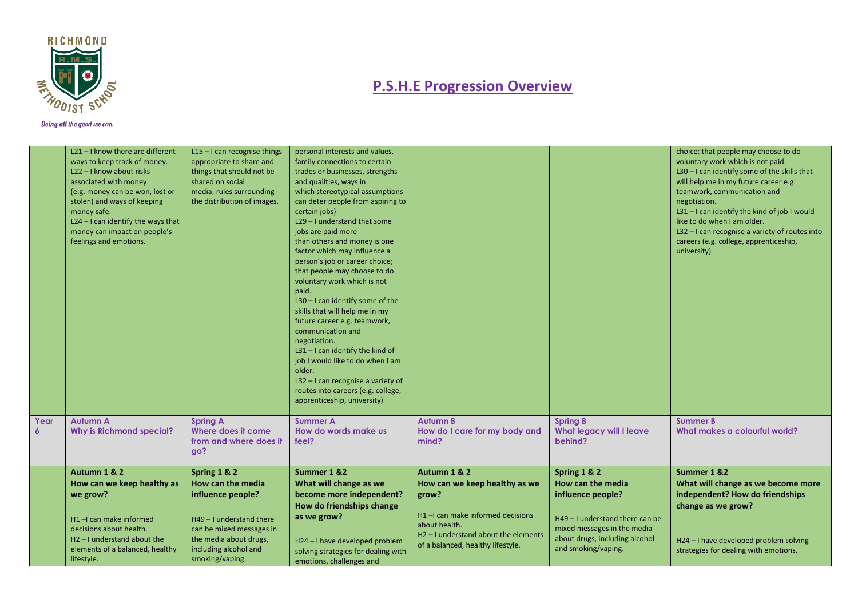

|           | L21-I know there are different<br>ways to keep track of money.<br>L22-I know about risks<br>associated with money<br>(e.g. money can be won, lost or<br>stolen) and ways of keeping<br>money safe.<br>$L24 - I$ can identify the ways that<br>money can impact on people's<br>feelings and emotions. | $L15 - I$ can recognise things<br>appropriate to share and<br>things that should not be<br>shared on social<br>media; rules surrounding<br>the distribution of images.               | personal interests and values,<br>family connections to certain<br>trades or businesses, strengths<br>and qualities, ways in<br>which stereotypical assumptions<br>can deter people from aspiring to<br>certain jobs)<br>L29 - I understand that some<br>jobs are paid more<br>than others and money is one<br>factor which may influence a<br>person's job or career choice;<br>that people may choose to do<br>voluntary work which is not<br>paid.<br>$L30 - I$ can identify some of the<br>skills that will help me in my<br>future career e.g. teamwork,<br>communication and<br>negotiation.<br>$L31 - I$ can identify the kind of<br>job I would like to do when I am<br>older.<br>$L32 - I$ can recognise a variety of<br>routes into careers (e.g. college,<br>apprenticeship, university) |                                                                                                                                                                                                      |                                                                                                                                                                                   | choice; that people may choose to do<br>voluntary work which is not paid.<br>$L30 - I$ can identify some of the skills that<br>will help me in my future career e.g.<br>teamwork, communication and<br>negotiation.<br>L31-I can identify the kind of job I would<br>like to do when I am older.<br>L32 - I can recognise a variety of routes into<br>careers (e.g. college, apprenticeship,<br>university) |
|-----------|------------------------------------------------------------------------------------------------------------------------------------------------------------------------------------------------------------------------------------------------------------------------------------------------------|--------------------------------------------------------------------------------------------------------------------------------------------------------------------------------------|-----------------------------------------------------------------------------------------------------------------------------------------------------------------------------------------------------------------------------------------------------------------------------------------------------------------------------------------------------------------------------------------------------------------------------------------------------------------------------------------------------------------------------------------------------------------------------------------------------------------------------------------------------------------------------------------------------------------------------------------------------------------------------------------------------|------------------------------------------------------------------------------------------------------------------------------------------------------------------------------------------------------|-----------------------------------------------------------------------------------------------------------------------------------------------------------------------------------|-------------------------------------------------------------------------------------------------------------------------------------------------------------------------------------------------------------------------------------------------------------------------------------------------------------------------------------------------------------------------------------------------------------|
| Year<br>6 | <b>Autumn A</b><br><b>Why is Richmond special?</b>                                                                                                                                                                                                                                                   | <b>Spring A</b><br>Where does it come<br>from and where does it<br>go?                                                                                                               | <b>Summer A</b><br>How do words make us<br>feel?                                                                                                                                                                                                                                                                                                                                                                                                                                                                                                                                                                                                                                                                                                                                                    | Autumn B<br>How do I care for my body and<br>mind?                                                                                                                                                   | Spring B<br><b>What legacy will I leave</b><br>behind?                                                                                                                            | <b>Summer B</b><br>What makes a colourful world?                                                                                                                                                                                                                                                                                                                                                            |
|           | Autumn 1 & 2<br>How can we keep healthy as<br>we grow?<br>H <sub>1</sub> - can make informed<br>decisions about health.<br>$H2 - I$ understand about the<br>elements of a balanced, healthy<br>lifestyle.                                                                                            | Spring 1 & 2<br>How can the media<br>influence people?<br>H49 - I understand there<br>can be mixed messages in<br>the media about drugs,<br>including alcohol and<br>smoking/vaping. | Summer 1 &2<br>What will change as we<br>become more independent?<br>How do friendships change<br>as we grow?<br>H24-I have developed problem<br>solving strategies for dealing with<br>emotions, challenges and                                                                                                                                                                                                                                                                                                                                                                                                                                                                                                                                                                                    | Autumn 1 & 2<br>How can we keep healthy as we<br>grow?<br>H1-I can make informed decisions<br>about health.<br>H <sub>2</sub> - I understand about the elements<br>of a balanced, healthy lifestyle. | Spring 1 & 2<br>How can the media<br>influence people?<br>H49 - I understand there can be<br>mixed messages in the media<br>about drugs, including alcohol<br>and smoking/vaping. | Summer 1 &2<br>What will change as we become more<br>independent? How do friendships<br>change as we grow?<br>H24 - I have developed problem solving<br>strategies for dealing with emotions,                                                                                                                                                                                                               |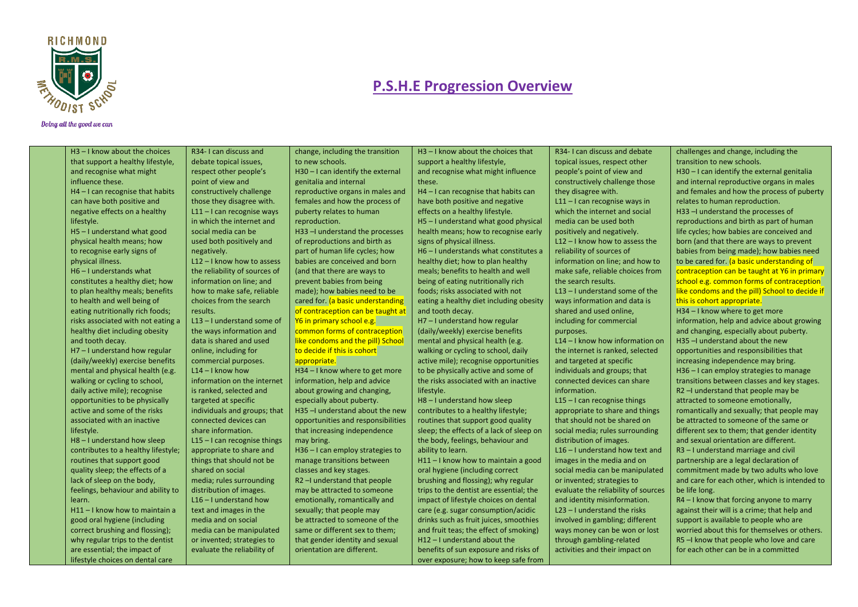

#### Doing all the good we can

H3 – I know about the choices that support a healthy lifestyle, and recognise what might influence these. H4 – I can recognise that habits can have both positive and negative effects on a healthy lifestyle. H5 – I understand what good physical health means; how to recognise early signs of physical illness. H6 – I understands what constitutes a healthy diet; how to plan healthy meals; benefits to health and well being of eating nutritionally rich foods; risks associated with not eating a healthy diet including obesity and tooth decay. H7 – I understand how regular (daily/weekly) exercise benefits

mental and physical health (e.g. walking or cycling to school, daily active mile); recognise opportunities to be physically active and some of the risks associated with an inactive lifestyle.

H8 – I understand how sleep contributes to a healthy lifestyle; routines that support good quality sleep; the effects of a lack of sleep on the body, feelings, behaviour and ability to learn.

H11 – I know how to maintain a good oral hygiene (including correct brushing and flossing); why regular trips to the dentist are essential; the impact of lifestyle choices on dental care

R34- I can discuss and debate topical issues, respect other people's point of view and constructively challenge those they disagree with. L11 – I can recognise ways in which the internet and social media can be used both positively and negatively. L12 – I know how to assess the reliability of sources of information on line; and

how to make safe, reliable

choices from the search results. L13 – I understand some of the ways information and data is shared and used online, including for commercial purposes.  $114 - 1$  know how information on the internet is ranked, selected and targeted at specific individuals and groups; that connected devices can share information. L15 – I can recognise things appropriate to share and things that should not be shared on social media; rules surrounding distribution of images. L16 – I understand how text and images in the media and on social media can be manipulated or invented; strategies to

evaluate the reliability of

change, including the transition to new schools. H30 – I can identify the external genitalia and internal reproductive organs in males and females and how the process of puberty relates to human reproduction.

H33 -I understand the processes of reproductions and birth as part of human life cycles; how babies are conceived and born (and that there are ways to prevent babies from being made); how babies need to be cared for. (a basic understanding of contraception can be taught at Y6 in primary school e.g.

common forms of contraception like condoms and the pill) School to decide if this is cohort appropriate.

H34 – I know where to get more information, help and advice about growing and changing, especially about puberty. H35 –I understand about the new opportunities and responsibilities that increasing independence may bring.

H36 – I can employ strategies to manage transitions between classes and key stages. R2 –I understand that people

may be attracted to someone emotionally, romantically and sexually; that people may be attracted to someone of the same or different sex to them; that gender identity and sexual orientation are different.

H3 – I know about the choices that support a healthy lifestyle, and recognise what might influence

these. H4 – I can recognise that habits can have both positive and negative effects on a healthy lifestyle. H5 – I understand what good physical health means; how to recognise early signs of physical illness. H6 – I understands what constitutes a healthy diet; how to plan healthy meals; benefits to health and well being of eating nutritionally rich foods; risks associated with not eating a healthy diet including obesity

and tooth decay. H7 – I understand how regular (daily/weekly) exercise benefits mental and physical health (e.g. walking or cycling to school, daily active mile); recognise opportunities to be physically active and some of the risks associated with an inactive lifestyle.

H8 – I understand how sleep contributes to a healthy lifestyle; routines that support good quality sleep; the effects of a lack of sleep on the body, feelings, behaviour and ability to learn.

H11 – I know how to maintain a good oral hygiene (including correct brushing and flossing); why regular trips to the dentist are essential; the impact of lifestyle choices on dental care (e.g. sugar consumption/acidic drinks such as fruit juices, smoothies and fruit teas; the effect of smoking) H12 – I understand about the benefits of sun exposure and risks of over exposure; how to keep safe from

topical issues, respect other people's point of view and constructively challenge those they disagree with. L11 – I can recognise ways in which the internet and social media can be used both positively and negatively. L12 – I know how to assess the reliability of sources of information on line; and how to make safe, reliable choices from the search results. L13 – I understand some of the ways information and data is shared and used online, including for commercial purposes. L14 – I know how information on

R34- I can discuss and debate

the internet is ranked, selected and targeted at specific individuals and groups; that connected devices can share information.

L15 – I can recognise things appropriate to share and things that should not be shared on social media; rules surrounding distribution of images. L16 – I understand how text and images in the media and on social media can be manipulated or invented; strategies to evaluate the reliability of sources and identity misinformation. L23 – I understand the risks involved in gambling; different ways money can be won or lost through gambling-related activities and their impact on

challenges and change, including the transition to new schools. H30 – I can identify the external genitalia and internal reproductive organs in males and females and how the process of puberty relates to human reproduction. H33 –I understand the processes of

reproductions and birth as part of human life cycles; how babies are conceived and born (and that there are ways to prevent babies from being made); how babies need to be cared for. (a basic understanding of contraception can be taught at Y6 in primary school e.g. common forms of contraception like condoms and the pill) School to decide if this is cohort appropriate.

H34 – I know where to get more

information, help and advice about growing and changing, especially about puberty. H35 –I understand about the new opportunities and responsibilities that increasing independence may bring. H36 – I can employ strategies to manage transitions between classes and key stages. R2 –I understand that people may be attracted to someone emotionally, romantically and sexually; that people may be attracted to someone of the same or different sex to them; that gender identity and sexual orientation are different. R3 – I understand marriage and civil partnership are a legal declaration of commitment made by two adults who love and care for each other, which is intended to be life long.

R4 – I know that forcing anyone to marry against their will is a crime; that help and support is available to people who are worried about this for themselves or others. R5 –I know that people who love and care for each other can be in a committed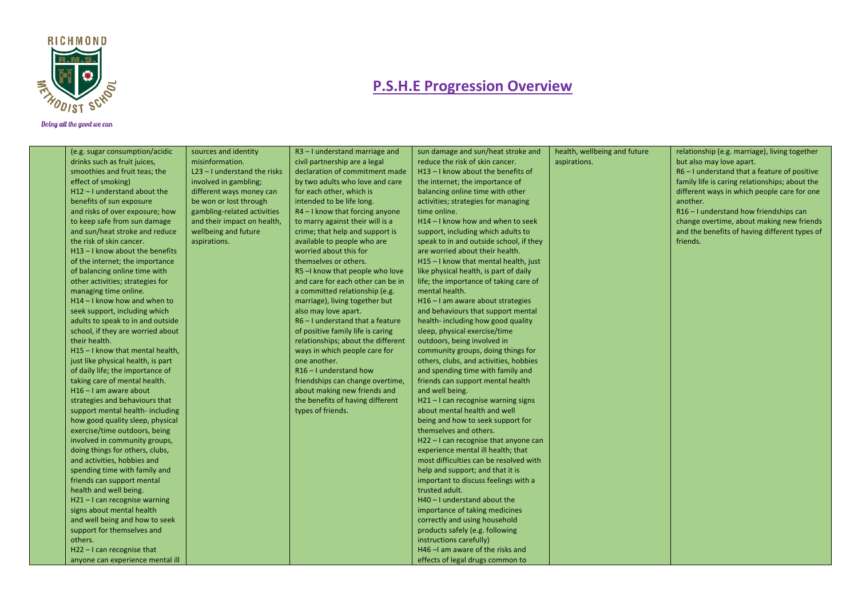

| (e.g. sugar consumption/acidic     | sources and identity           | $R3 - I$ understand marriage and   | sun damage and sun/heat stroke and      | health, wellbeing and future | relationship (e.g. marriage), living together  |
|------------------------------------|--------------------------------|------------------------------------|-----------------------------------------|------------------------------|------------------------------------------------|
| drinks such as fruit juices,       | misinformation.                | civil partnership are a legal      | reduce the risk of skin cancer.         | aspirations.                 | but also may love apart.                       |
| smoothies and fruit teas; the      | $L23 - I$ understand the risks | declaration of commitment made     | $H13 - I$ know about the benefits of    |                              | R6-I understand that a feature of positive     |
| effect of smoking)                 | involved in gambling;          | by two adults who love and care    | the internet; the importance of         |                              | family life is caring relationships; about the |
| $H12 - I$ understand about the     | different ways money can       | for each other, which is           | balancing online time with other        |                              | different ways in which people care for one    |
| benefits of sun exposure           | be won or lost through         | intended to be life long.          | activities; strategies for managing     |                              | another.                                       |
| and risks of over exposure; how    | gambling-related activities    | $R4 - I$ know that forcing anyone  | time online.                            |                              | R16-I understand how friendships can           |
| to keep safe from sun damage       | and their impact on health,    | to marry against their will is a   | H14 - I know how and when to seek       |                              | change overtime, about making new friends      |
| and sun/heat stroke and reduce     | wellbeing and future           | crime; that help and support is    | support, including which adults to      |                              | and the benefits of having different types of  |
| the risk of skin cancer.           | aspirations.                   | available to people who are        | speak to in and outside school, if they |                              | friends.                                       |
| $H13 - I$ know about the benefits  |                                | worried about this for             | are worried about their health.         |                              |                                                |
| of the internet; the importance    |                                | themselves or others.              | H15-I know that mental health, just     |                              |                                                |
| of balancing online time with      |                                | R5-I know that people who love     | like physical health, is part of daily  |                              |                                                |
| other activities; strategies for   |                                | and care for each other can be in  | life; the importance of taking care of  |                              |                                                |
| managing time online.              |                                | a committed relationship (e.g.     | mental health.                          |                              |                                                |
| H14-I know how and when to         |                                | marriage), living together but     | H16 - I am aware about strategies       |                              |                                                |
| seek support, including which      |                                | also may love apart.               | and behaviours that support mental      |                              |                                                |
| adults to speak to in and outside  |                                | $R6 - I$ understand that a feature | health-including how good quality       |                              |                                                |
| school, if they are worried about  |                                | of positive family life is caring  | sleep, physical exercise/time           |                              |                                                |
| their health.                      |                                | relationships; about the different | outdoors, being involved in             |                              |                                                |
| H15-I know that mental health,     |                                | ways in which people care for      | community groups, doing things for      |                              |                                                |
| just like physical health, is part |                                | one another.                       | others, clubs, and activities, hobbies  |                              |                                                |
| of daily life; the importance of   |                                | R <sub>16</sub> - I understand how | and spending time with family and       |                              |                                                |
| taking care of mental health.      |                                | friendships can change overtime,   | friends can support mental health       |                              |                                                |
| $H16 - I$ am aware about           |                                | about making new friends and       | and well being.                         |                              |                                                |
| strategies and behaviours that     |                                | the benefits of having different   | H21-I can recognise warning signs       |                              |                                                |
| support mental health-including    |                                | types of friends.                  | about mental health and well            |                              |                                                |
| how good quality sleep, physical   |                                |                                    | being and how to seek support for       |                              |                                                |
| exercise/time outdoors, being      |                                |                                    | themselves and others.                  |                              |                                                |
| involved in community groups,      |                                |                                    | H22 - I can recognise that anyone can   |                              |                                                |
| doing things for others, clubs,    |                                |                                    | experience mental ill health; that      |                              |                                                |
| and activities, hobbies and        |                                |                                    | most difficulties can be resolved with  |                              |                                                |
| spending time with family and      |                                |                                    | help and support; and that it is        |                              |                                                |
| friends can support mental         |                                |                                    | important to discuss feelings with a    |                              |                                                |
| health and well being.             |                                |                                    | trusted adult.                          |                              |                                                |
| $H21 - I$ can recognise warning    |                                |                                    | $H40 - I$ understand about the          |                              |                                                |
| signs about mental health          |                                |                                    | importance of taking medicines          |                              |                                                |
| and well being and how to seek     |                                |                                    | correctly and using household           |                              |                                                |
| support for themselves and         |                                |                                    | products safely (e.g. following         |                              |                                                |
| others.                            |                                |                                    | instructions carefully)                 |                              |                                                |
| $H22 - I$ can recognise that       |                                |                                    | H46 - I am aware of the risks and       |                              |                                                |
| anyone can experience mental ill   |                                |                                    | effects of legal drugs common to        |                              |                                                |